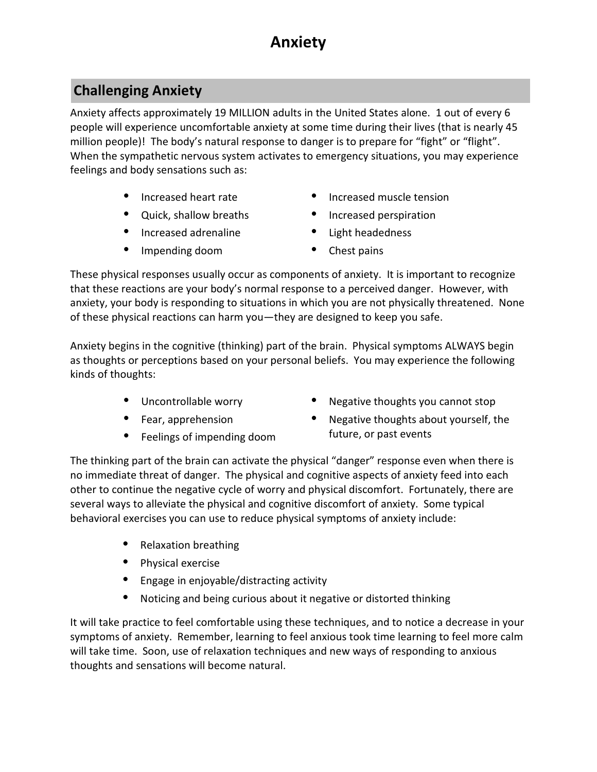# **Anxiety**

## **Challenging Anxiety**

Anxiety affects approximately 19 MILLION adults in the United States alone. 1 out of every 6 people will experience uncomfortable anxiety at some time during their lives (that is nearly 45 million people)! The body's natural response to danger is to prepare for "fight" or "flight". When the sympathetic nervous system activates to emergency situations, you may experience feelings and body sensations such as:

- Increased heart rate
- Quick, shallow breaths
- Increased adrenaline
- Impending doom
- Increased muscle tension
- Increased perspiration
- Light headedness
- Chest pains

These physical responses usually occur as components of anxiety. It is important to recognize that these reactions are your body's normal response to a perceived danger. However, with anxiety, your body is responding to situations in which you are not physically threatened. None of these physical reactions can harm you—they are designed to keep you safe.

Anxiety begins in the cognitive (thinking) part of the brain. Physical symptoms ALWAYS begin as thoughts or perceptions based on your personal beliefs. You may experience the following kinds of thoughts:

- Uncontrollable worry
- Fear, apprehension
- Feelings of impending doom
- Negative thoughts you cannot stop
- Negative thoughts about yourself, the future, or past events

The thinking part of the brain can activate the physical "danger" response even when there is no immediate threat of danger. The physical and cognitive aspects of anxiety feed into each other to continue the negative cycle of worry and physical discomfort. Fortunately, there are several ways to alleviate the physical and cognitive discomfort of anxiety. Some typical behavioral exercises you can use to reduce physical symptoms of anxiety include:

- Relaxation breathing
- Physical exercise
- Engage in enjoyable/distracting activity
- Noticing and being curious about it negative or distorted thinking

It will take practice to feel comfortable using these techniques, and to notice a decrease in your symptoms of anxiety. Remember, learning to feel anxious took time learning to feel more calm will take time. Soon, use of relaxation techniques and new ways of responding to anxious thoughts and sensations will become natural.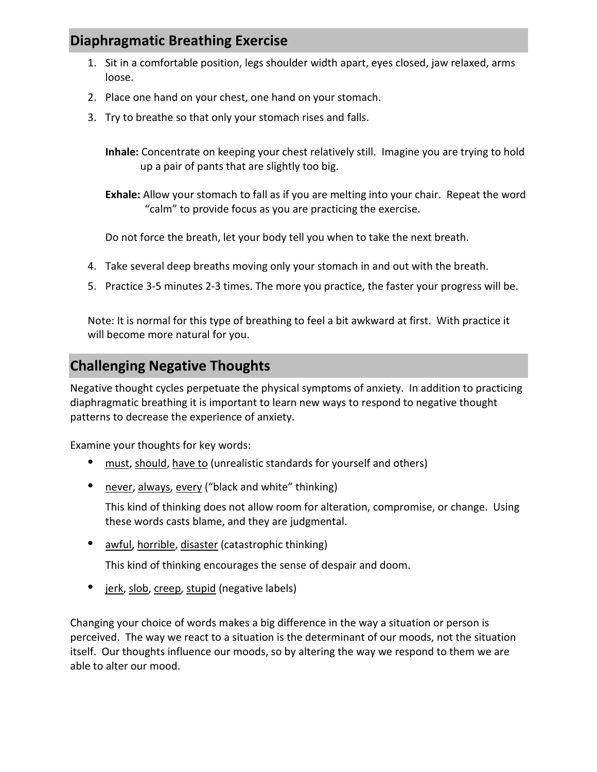### **Diaphragmatic Breathing Exercise**

- 1. Sit in a comfortable position, legs shoulder width apart, eyes closed, jaw relaxed, arms loose.
- 2. Place one hand on your chest, one hand on your stomach.
- 3. Try to breathe so that only your stomach rises and falls.

**Inhale:** Concentrate on keeping your chest relatively still. Imagine you are trying to hold up a pair of pants that are slightly too big.

**Exhale:** Allow your stomach to fall as if you are melting into your chair. Repeat the word "calm" to provide focus as you are practicing the exercise.

Do not force the breath, let your body tell you when to take the next breath.

- 4. Take several deep breaths moving only your stomach in and out with the breath.
- 5. Practice 3-5 minutes 2-3 times. The more you practice, the faster your progress will be.

Note: It is normal for this type of breathing to feel a bit awkward at first. With practice it will become more natural for you.

### **Challenging Negative Thoughts**

Negative thought cycles perpetuate the physical symptoms of anxiety. In addition to practicing diaphragmatic breathing it is important to learn new ways to respond to negative thought patterns to decrease the experience of anxiety.

Examine your thoughts for key words:

- must, should, have to (unrealistic standards for yourself and others)
- never, always, every ("black and white" thinking)

This kind of thinking does not allow room for alteration, compromise, or change. Using these words casts blame, and they are judgmental.

• awful, horrible, disaster (catastrophic thinking)

This kind of thinking encourages the sense of despair and doom.

• jerk, slob, creep, stupid (negative labels)

Changing your choice of words makes a big difference in the way a situation or person is perceived. The way we react to a situation is the determinant of our moods, not the situation itself. Our thoughts influence our moods, so by altering the way we respond to them we are able to alter our mood.